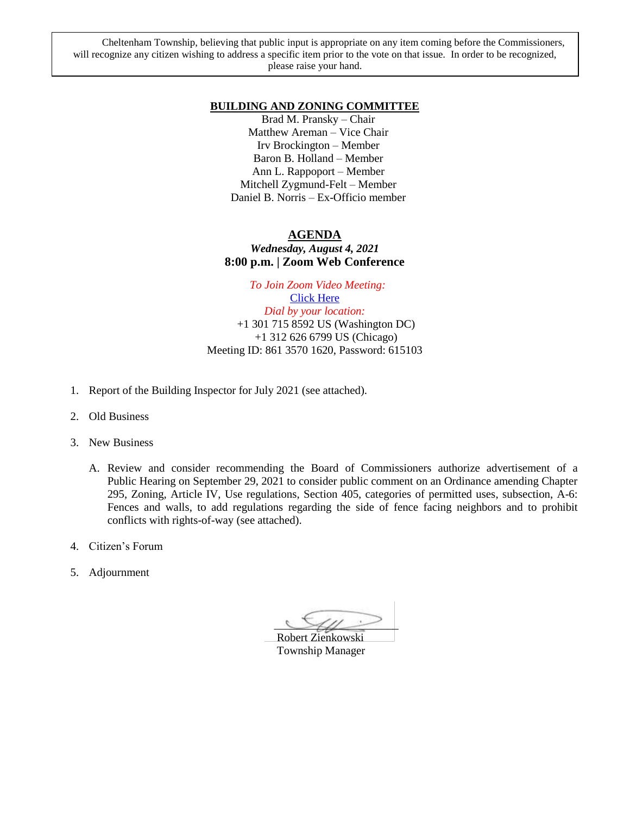Cheltenham Township, believing that public input is appropriate on any item coming before the Commissioners, will recognize any citizen wishing to address a specific item prior to the vote on that issue. In order to be recognized, please raise your hand.

#### **BUILDING AND ZONING COMMITTEE**

Brad M. Pransky – Chair Matthew Areman – Vice Chair Irv Brockington – Member Baron B. Holland – Member Ann L. Rappoport – Member Mitchell Zygmund-Felt – Member Daniel B. Norris – Ex-Officio member

#### **AGENDA**

#### *Wednesday, August 4, 2021* **8:00 p.m. | Zoom Web Conference**

 *To Join Zoom Video Meeting:* [Click Here](https://us02web.zoom.us/j/86135701620?pwd=YlludHN6c2RWK2xCTEx6ZzByOVJXQT09) *Dial by your location:* +1 301 715 8592 US (Washington DC) +1 312 626 6799 US (Chicago) Meeting ID: 861 3570 1620, Password: 615103

- 1. Report of the Building Inspector for July 2021 (see attached).
- 2. Old Business
- 3. New Business
	- A. Review and consider recommending the Board of Commissioners authorize advertisement of a Public Hearing on September 29, 2021 to consider public comment on an Ordinance amending Chapter 295, Zoning, Article IV, Use regulations, Section 405, categories of permitted uses, subsection, A-6: Fences and walls, to add regulations regarding the side of fence facing neighbors and to prohibit conflicts with rights-of-way (see attached).
- 4. Citizen's Forum
- 5. Adjournment

 $\bigcup$ 

 Robert Zienkowski Township Manager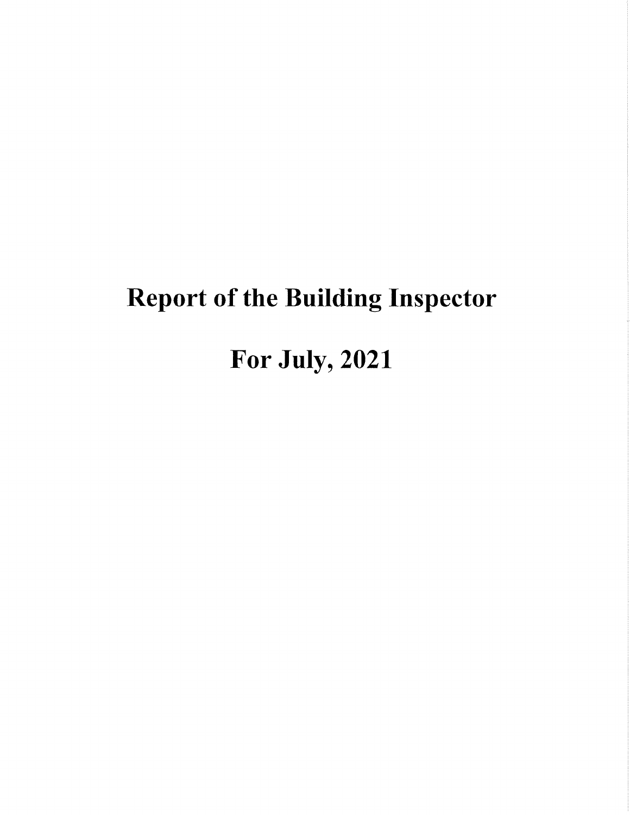# **Report of the Building Inspector**

# For July, 2021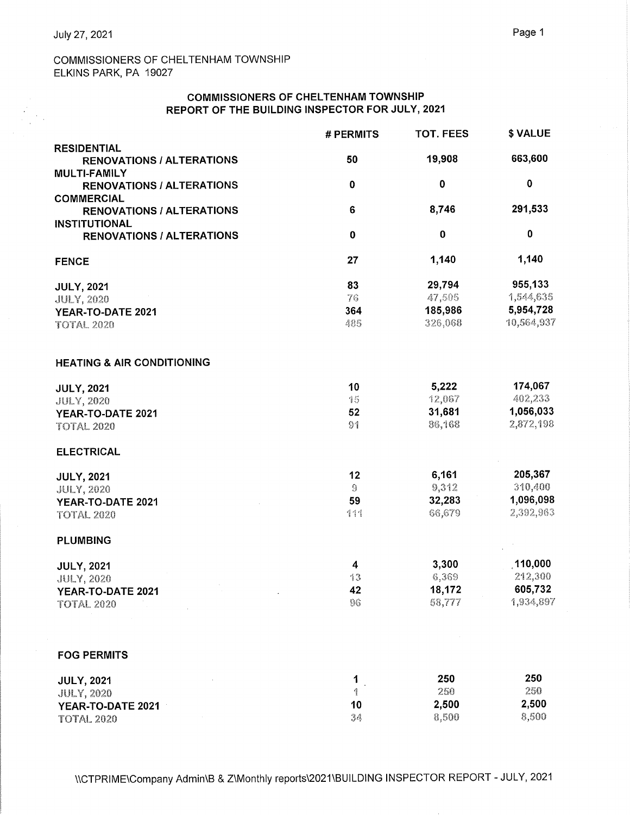$\frac{1}{2}$ 

# COMMISSIONERS OF CHELTENHAM TOWNSHIP ELKINS PARK, PA 19027

#### **COMMISSIONERS OF CHELTENHAM TOWNSHIP** REPORT OF THE BUILDING INSPECTOR FOR JULY, 2021

|                                                          | # PERMITS      | <b>TOT. FEES</b>                                                                                                                                                                                       | \$ VALUE    |
|----------------------------------------------------------|----------------|--------------------------------------------------------------------------------------------------------------------------------------------------------------------------------------------------------|-------------|
| <b>RESIDENTIAL</b>                                       |                | 19,908<br>0<br>8,746<br>$\bf{0}$<br>1,140<br>29,794<br>47,505<br>185,986<br>326,068<br>5,222<br>12,067<br>31,681<br>86,168<br>6,161<br>9,312<br>32,283<br>66,679<br>3,300<br>6,369<br>18,172<br>58,777 |             |
| <b>RENOVATIONS / ALTERATIONS</b>                         | 50             |                                                                                                                                                                                                        | 663,600     |
| <b>MULTI-FAMILY</b>                                      |                |                                                                                                                                                                                                        |             |
| <b>RENOVATIONS / ALTERATIONS</b>                         | $\mathbf 0$    |                                                                                                                                                                                                        | $\mathbf 0$ |
| <b>COMMERCIAL</b>                                        |                |                                                                                                                                                                                                        |             |
| <b>RENOVATIONS / ALTERATIONS</b>                         | 6              |                                                                                                                                                                                                        | 291,533     |
| <b>INSTITUTIONAL</b><br><b>RENOVATIONS / ALTERATIONS</b> | $\bf{0}$       |                                                                                                                                                                                                        | $\bf{0}$    |
|                                                          |                |                                                                                                                                                                                                        |             |
| <b>FENCE</b>                                             | 27             |                                                                                                                                                                                                        | 1,140       |
| <b>JULY, 2021</b>                                        | 83             |                                                                                                                                                                                                        | 955,133     |
| <b>JULY, 2020</b>                                        | 76             |                                                                                                                                                                                                        | 1,544,635   |
| YEAR-TO-DATE 2021                                        | 364            |                                                                                                                                                                                                        | 5,954,728   |
| <b>TOTAL 2020</b>                                        | 485            |                                                                                                                                                                                                        | 10,564,937  |
|                                                          |                |                                                                                                                                                                                                        |             |
| <b>HEATING &amp; AIR CONDITIONING</b>                    |                |                                                                                                                                                                                                        |             |
| <b>JULY, 2021</b>                                        | 10             |                                                                                                                                                                                                        | 174,067     |
| <b>JULY, 2020</b>                                        | 15             |                                                                                                                                                                                                        | 402,233     |
| YEAR-TO-DATE 2021                                        | 52             |                                                                                                                                                                                                        | 1,056,033   |
| <b>TOTAL 2020</b>                                        | 9 <sup>1</sup> |                                                                                                                                                                                                        | 2,872,198   |
| <b>ELECTRICAL</b>                                        |                |                                                                                                                                                                                                        |             |
| <b>JULY, 2021</b>                                        | 12             |                                                                                                                                                                                                        | 205,367     |
| <b>JULY, 2020</b>                                        | $\Theta$       |                                                                                                                                                                                                        | 310,400     |
| YEAR-TO-DATE 2021                                        | 59             |                                                                                                                                                                                                        | 1,096,098   |
| <b>TOTAL 2020</b>                                        | 111            |                                                                                                                                                                                                        | 2,392,963   |
| <b>PLUMBING</b>                                          |                |                                                                                                                                                                                                        |             |
| <b>JULY, 2021</b>                                        | 4              |                                                                                                                                                                                                        | 110,000     |
| <b>JULY, 2020</b>                                        | 13             |                                                                                                                                                                                                        | 212,300     |
| YEAR-TO-DATE 2021                                        | 42             |                                                                                                                                                                                                        | 605,732     |
| <b>TOTAL 2020</b>                                        | 96             |                                                                                                                                                                                                        | 1,934,897   |
|                                                          |                |                                                                                                                                                                                                        |             |
| <b>FOG PERMITS</b>                                       |                |                                                                                                                                                                                                        |             |
| <b>JULY, 2021</b>                                        | 1              | 250                                                                                                                                                                                                    | 250         |
| <b>JULY, 2020</b>                                        | Ą              | 250                                                                                                                                                                                                    | 250         |
| YEAR-TO-DATE 2021                                        | 10             | 2,500                                                                                                                                                                                                  | 2,500       |
| <b>TOTAL 2020</b>                                        | 34             | 8,500                                                                                                                                                                                                  | 8,500       |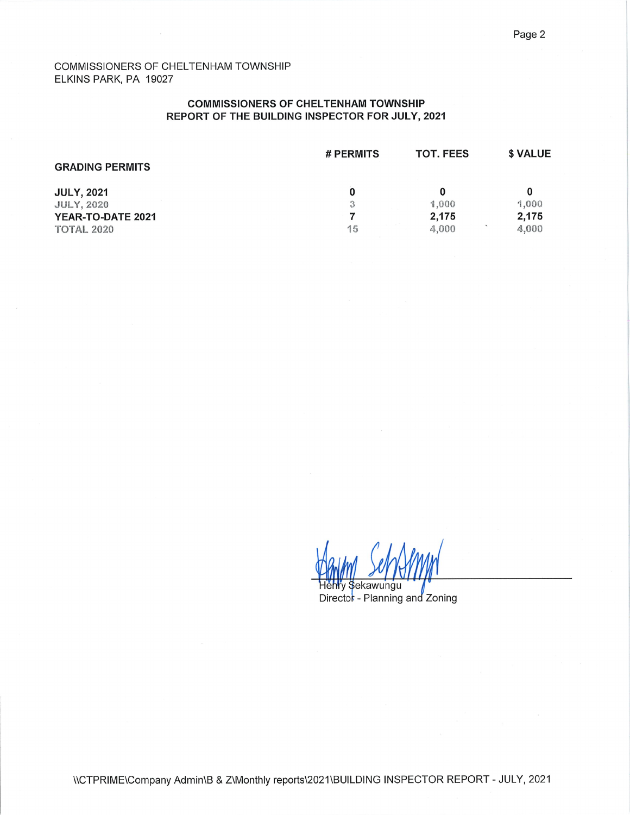#### COMMISSIONERS OF CHELTENHAM TOWNSHIP ELKINS PARK, PA 19027

#### **COMMISSIONERS OF CHELTENHAM TOWNSHIP** REPORT OF THE BUILDING INSPECTOR FOR JULY, 2021

| <b>GRADING PERMITS</b>                 | # PERMITS | <b>TOT. FEES</b> | \$ VALUE       |
|----------------------------------------|-----------|------------------|----------------|
| <b>JULY, 2021</b>                      |           | 0                |                |
| <b>JULY, 2020</b>                      | 3         | 1.000            | 1,000          |
| YEAR-TO-DATE 2021<br><b>TOTAL 2020</b> | 15        | 2.175<br>4,000   | 2,175<br>4,000 |

Hehry Sekawungu

Director - Planning and Zoning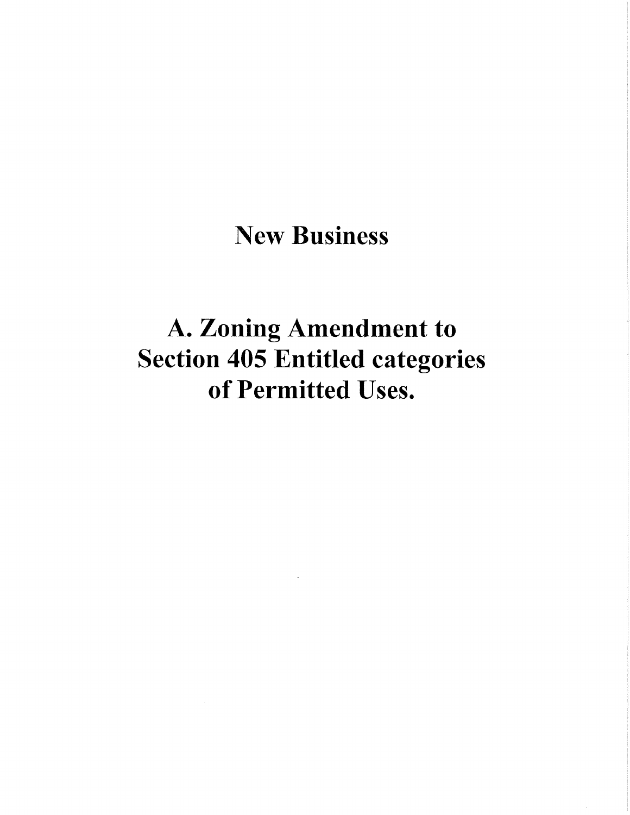# **New Business**

# A. Zoning Amendment to **Section 405 Entitled categories** of Permitted Uses.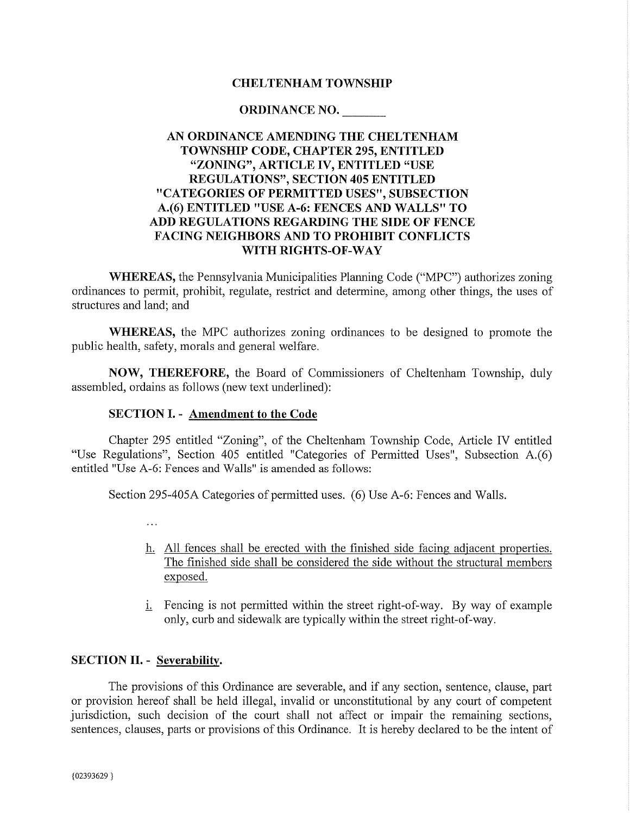# **CHELTENHAM TOWNSHIP**

#### ORDINANCE NO.

# AN ORDINANCE AMENDING THE CHELTENHAM **TOWNSHIP CODE, CHAPTER 295, ENTITLED** "ZONING", ARTICLE IV, ENTITLED "USE **REGULATIONS", SECTION 405 ENTITLED** "CATEGORIES OF PERMITTED USES", SUBSECTION A.(6) ENTITLED "USE A-6: FENCES AND WALLS" TO ADD REGULATIONS REGARDING THE SIDE OF FENCE **FACING NEIGHBORS AND TO PROHIBIT CONFLICTS** WITH RIGHTS-OF-WAY

**WHEREAS**, the Pennsylvania Municipalities Planning Code ("MPC") authorizes zoning ordinances to permit, prohibit, regulate, restrict and determine, among other things, the uses of structures and land; and

**WHEREAS**, the MPC authorizes zoning ordinances to be designed to promote the public health, safety, morals and general welfare.

NOW, THEREFORE, the Board of Commissioners of Cheltenham Township, duly assembled, ordains as follows (new text underlined):

# **SECTION I. - Amendment to the Code**

Chapter 295 entitled "Zoning", of the Cheltenham Township Code, Article IV entitled "Use Regulations", Section 405 entitled "Categories of Permitted Uses", Subsection A.(6) entitled "Use A-6: Fences and Walls" is amended as follows:

Section 295-405A Categories of permitted uses. (6) Use A-6: Fences and Walls.

 $\ddotsc$ 

- h. All fences shall be erected with the finished side facing adjacent properties. The finished side shall be considered the side without the structural members exposed.
- *i.* Fencing is not permitted within the street right-of-way. By way of example only, curb and sidewalk are typically within the street right-of-way.

#### **SECTION II. - Severability.**

The provisions of this Ordinance are severable, and if any section, sentence, clause, part or provision hereof shall be held illegal, invalid or unconstitutional by any court of competent jurisdiction, such decision of the court shall not affect or impair the remaining sections, sentences, clauses, parts or provisions of this Ordinance. It is hereby declared to be the intent of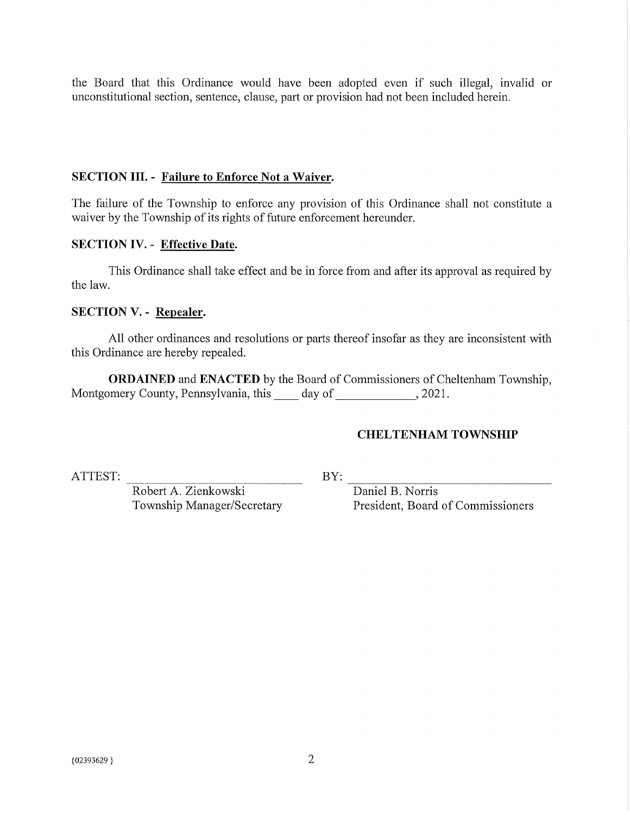the Board that this Ordinance would have been adopted even if such illegal, invalid or unconstitutional section, sentence, clause, part or provision had not been included herein.

# **SECTION III. - Failure to Enforce Not a Waiver.**

The failure of the Township to enforce any provision of this Ordinance shall not constitute a waiver by the Township of its rights of future enforcement hereunder.

# **SECTION IV. - Effective Date.**

This Ordinance shall take effect and be in force from and after its approval as required by the law.

# **SECTION V. - Repealer.**

All other ordinances and resolutions or parts thereof insofar as they are inconsistent with this Ordinance are hereby repealed.

**ORDAINED** and **ENACTED** by the Board of Commissioners of Cheltenham Township, Montgomery County, Pennsylvania, this \_\_\_\_\_ day of \_\_\_\_\_\_\_\_\_\_\_\_\_\_, 2021.

#### **CHELTENHAM TOWNSHIP**

ATTEST:

 $BY:$ 

Daniel B. Norris President, Board of Commissioners

Robert A. Zienkowski Township Manager/Secretary